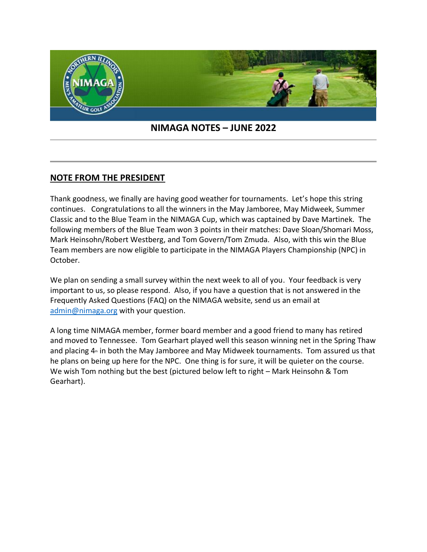

## **NIMAGA NOTES – JUNE 2022**

## **NOTE FROM THE PRESIDENT**

Thank goodness, we finally are having good weather for tournaments. Let's hope this string continues. Congratulations to all the winners in the May Jamboree, May Midweek, Summer Classic and to the Blue Team in the NIMAGA Cup, which was captained by Dave Martinek. The following members of the Blue Team won 3 points in their matches: Dave Sloan/Shomari Moss, Mark Heinsohn/Robert Westberg, and Tom Govern/Tom Zmuda. Also, with this win the Blue Team members are now eligible to participate in the NIMAGA Players Championship (NPC) in October.

We plan on sending a small survey within the next week to all of you. Your feedback is very important to us, so please respond. Also, if you have a question that is not answered in the Frequently Asked Questions (FAQ) on the NIMAGA website, send us an email at [admin@nimaga.org](mailto:admin@nimaga.org) with your question.

A long time NIMAGA member, former board member and a good friend to many has retired and moved to Tennessee. Tom Gearhart played well this season winning net in the Spring Thaw and placing  $4<sub>m</sub>$  in both the May Jamboree and May Midweek tournaments. Tom assured us that he plans on being up here for the NPC. One thing is for sure, it will be quieter on the course. We wish Tom nothing but the best (pictured below left to right – Mark Heinsohn & Tom Gearhart).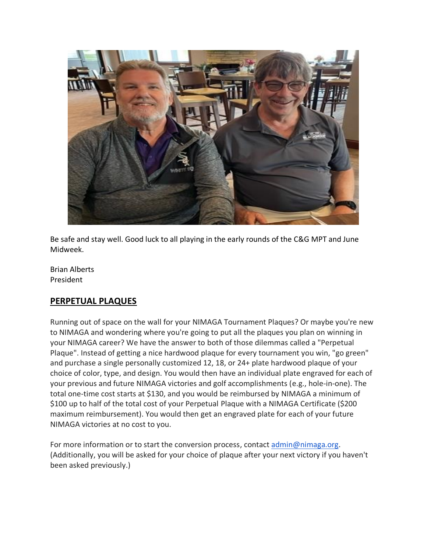

Be safe and stay well. Good luck to all playing in the early rounds of the C&G MPT and June Midweek.

Brian Alberts President

# **PERPETUAL PLAQUES**

Running out of space on the wall for your NIMAGA Tournament Plaques? Or maybe you're new to NIMAGA and wondering where you're going to put all the plaques you plan on winning in your NIMAGA career? We have the answer to both of those dilemmas called a "Perpetual Plaque". Instead of getting a nice hardwood plaque for every tournament you win, "go green" and purchase a single personally customized 12, 18, or 24+ plate hardwood plaque of your choice of color, type, and design. You would then have an individual plate engraved for each of your previous and future NIMAGA victories and golf accomplishments (e.g., hole-in-one). The total one-time cost starts at \$130, and you would be reimbursed by NIMAGA a minimum of \$100 up to half of the total cost of your Perpetual Plaque with a NIMAGA Certificate (\$200 maximum reimbursement). You would then get an engraved plate for each of your future NIMAGA victories at no cost to you.

For more information or to start the conversion process, contact [admin@nimaga.org.](mailto:admin@nimaga.org) (Additionally, you will be asked for your choice of plaque after your next victory if you haven't been asked previously.)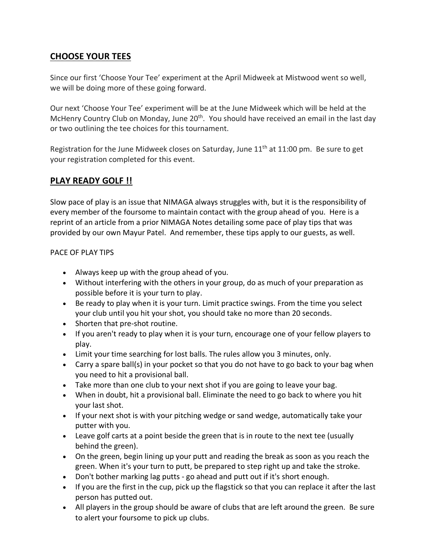# **CHOOSE YOUR TEES**

Since our first 'Choose Your Tee' experiment at the April Midweek at Mistwood went so well, we will be doing more of these going forward.

Our next 'Choose Your Tee' experiment will be at the June Midweek which will be held at the McHenry Country Club on Monday, June 20<sup>th</sup>. You should have received an email in the last day or two outlining the tee choices for this tournament.

Registration for the June Midweek closes on Saturday, June  $11<sup>th</sup>$  at  $11:00$  pm. Be sure to get your registration completed for this event.

# **PLAY READY GOLF !!**

Slow pace of play is an issue that NIMAGA always struggles with, but it is the responsibility of every member of the foursome to maintain contact with the group ahead of you. Here is a reprint of an article from a prior NIMAGA Notes detailing some pace of play tips that was provided by our own Mayur Patel. And remember, these tips apply to our guests, as well.

### PACE OF PLAY TIPS

- Always keep up with the group ahead of you.
- Without interfering with the others in your group, do as much of your preparation as possible before it is your turn to play.
- Be ready to play when it is your turn. Limit practice swings. From the time you select your club until you hit your shot, you should take no more than 20 seconds.
- Shorten that pre-shot routine.
- If you aren't ready to play when it is your turn, encourage one of your fellow players to play.
- Limit your time searching for lost balls. The rules allow you 3 minutes, only.
- Carry a spare ball(s) in your pocket so that you do not have to go back to your bag when you need to hit a provisional ball.
- Take more than one club to your next shot if you are going to leave your bag.
- When in doubt, hit a provisional ball. Eliminate the need to go back to where you hit your last shot.
- If your next shot is with your pitching wedge or sand wedge, automatically take your putter with you.
- Leave golf carts at a point beside the green that is in route to the next tee (usually behind the green).
- On the green, begin lining up your putt and reading the break as soon as you reach the green. When it's your turn to putt, be prepared to step right up and take the stroke.
- Don't bother marking lag putts go ahead and putt out if it's short enough.
- If you are the first in the cup, pick up the flagstick so that you can replace it after the last person has putted out.
- All players in the group should be aware of clubs that are left around the green. Be sure to alert your foursome to pick up clubs.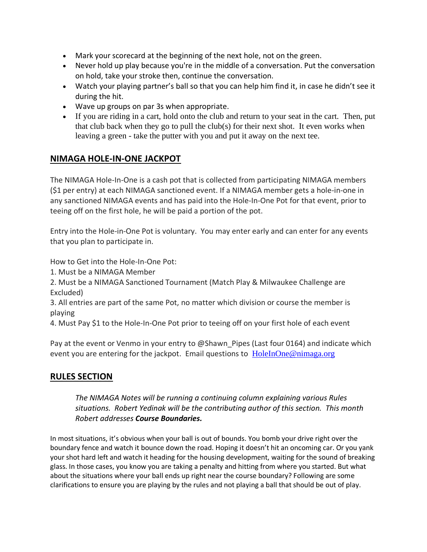- Mark your scorecard at the beginning of the next hole, not on the green.
- Never hold up play because you're in the middle of a conversation. Put the conversation on hold, take your stroke then, continue the conversation.
- Watch your playing partner's ball so that you can help him find it, in case he didn't see it during the hit.
- Wave up groups on par 3s when appropriate.
- If you are riding in a cart, hold onto the club and return to your seat in the cart. Then, put that club back when they go to pull the club(s) for their next shot. It even works when leaving a green - take the putter with you and put it away on the next tee.

# **NIMAGA HOLE-IN-ONE JACKPOT**

The NIMAGA Hole-In-One is a cash pot that is collected from participating NIMAGA members (\$1 per entry) at each NIMAGA sanctioned event. If a NIMAGA member gets a hole-in-one in any sanctioned NIMAGA events and has paid into the Hole-In-One Pot for that event, prior to teeing off on the first hole, he will be paid a portion of the pot.

Entry into the Hole-in-One Pot is voluntary. You may enter early and can enter for any events that you plan to participate in.

How to Get into the Hole-In-One Pot:

1. Must be a NIMAGA Member

2. Must be a NIMAGA Sanctioned Tournament (Match Play & Milwaukee Challenge are Excluded)

3. All entries are part of the same Pot, no matter which division or course the member is playing

4. Must Pay \$1 to the Hole-In-One Pot prior to teeing off on your first hole of each event

Pay at the event or Venmo in your entry to @Shawn Pipes (Last four 0164) and indicate which event you are entering for the jackpot. Email questions to [HoleInOne@nimaga.org](mailto:HoleInOne@nimaga.org)

# **RULES SECTION**

*The NIMAGA Notes will be running a continuing column explaining various Rules situations. Robert Yedinak will be the contributing author of this section. This month Robert addresses Course Boundaries.*

In most situations, it's obvious when your ball is out of bounds. You bomb your drive right over the boundary fence and watch it bounce down the road. Hoping it doesn't hit an oncoming car. Or you yank your shot hard left and watch it heading for the housing development, waiting for the sound of breaking glass. In those cases, you know you are taking a penalty and hitting from where you started. But what about the situations where your ball ends up right near the course boundary? Following are some clarifications to ensure you are playing by the rules and not playing a ball that should be out of play.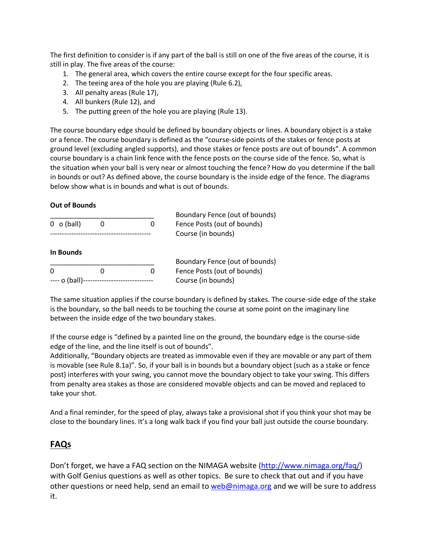The first definition to consider is if any part of the ball is still on one of the five areas of the course, it is still in play. The five areas of the course:

- 1. The general area, which covers the entire course except for the four specific areas.
- 2. The teeing area of the hole you are playing (Rule 6.2),
- 3. All penalty areas (Rule 17),
- 4. All bunkers (Rule 12), and
- 5. The putting green of the hole you are playing (Rule 13).

The course boundary edge should be defined by boundary objects or lines. A boundary object is a stake or a fence. The course boundary is defined as the "course-side points of the stakes or fence posts at ground level (excluding angled supports), and those stakes or fence posts are out of bounds". A common course boundary is a chain link fence with the fence posts on the course side of the fence. So, what is the situation when your ball is very near or almost touching the fence? How do you determine if the ball in bounds or out? As defined above, the course boundary is the inside edge of the fence. The diagrams below show what is in bounds and what is out of bounds.

#### **Out of Bounds**

|                  |  |   | Boundary Fence (out of bounds) |
|------------------|--|---|--------------------------------|
| $0 \circ$ (ball) |  | n | Fence Posts (out of bounds)    |
|                  |  |   | Course (in bounds)             |

#### **In Bounds**

|          |                                              | Boundary Fence (out of bounds) |
|----------|----------------------------------------------|--------------------------------|
| $\Omega$ |                                              | Fence Posts (out of bounds)    |
|          | ---- o (ball)------------------------------- | Course (in bounds)             |

The same situation applies if the course boundary is defined by stakes. The course-side edge of the stake is the boundary, so the ball needs to be touching the course at some point on the imaginary line between the inside edge of the two boundary stakes.

If the course edge is "defined by a painted line on the ground, the boundary edge is the course-side edge of the line, and the line itself is out of bounds".

Additionally, "Boundary objects are treated as immovable even if they are movable or any part of them is movable (see Rule 8.1a)". So, if your ball is in bounds but a boundary object (such as a stake or fence post) interferes with your swing, you cannot move the boundary object to take your swing. This differs from penalty area stakes as those are considered movable objects and can be moved and replaced to take your shot.

And a final reminder, for the speed of play, always take a provisional shot if you think your shot may be close to the boundary lines. It's a long walk back if you find your ball just outside the course boundary.

### **FAQs**

Don't forget, we have a FAQ section on the NIMAGA website [\(http://www.nimaga.org/faq/\)](http://www.nimaga.org/faq/) with Golf Genius questions as well as other topics. Be sure to check that out and if you have other questions or need help, send an email to [web@nimaga.org](mailto:web@nimaga.org) and we will be sure to address it.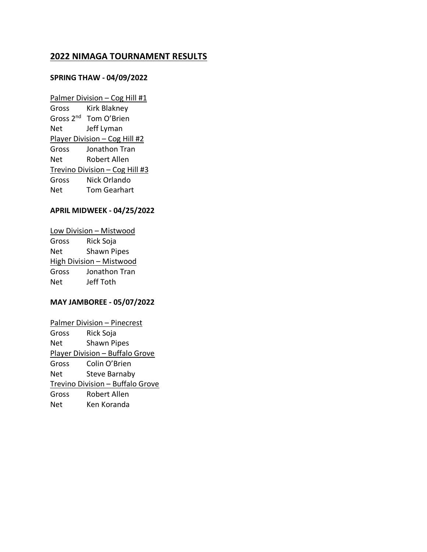## **2022 NIMAGA TOURNAMENT RESULTS**

#### **SPRING THAW - 04/09/2022**

Palmer Division – Cog Hill #1 Gross Kirk Blakney Gross 2<sup>nd</sup> Tom O'Brien Net Jeff Lyman Player Division – Cog Hill #2 Gross Jonathon Tran Net Robert Allen Trevino Division – Cog Hill #3 Gross Nick Orlando Net Tom Gearhart

#### **APRIL MIDWEEK - 04/25/2022**

Low Division – Mistwood Gross Rick Soja Net Shawn Pipes High Division – Mistwood Gross Jonathon Tran Net Jeff Toth

#### **MAY JAMBOREE - 05/07/2022**

Palmer Division – Pinecrest Gross Rick Soja Net Shawn Pipes Player Division – Buffalo Grove Gross Colin O'Brien Net Steve Barnaby Trevino Division – Buffalo Grove Gross Robert Allen Net Ken Koranda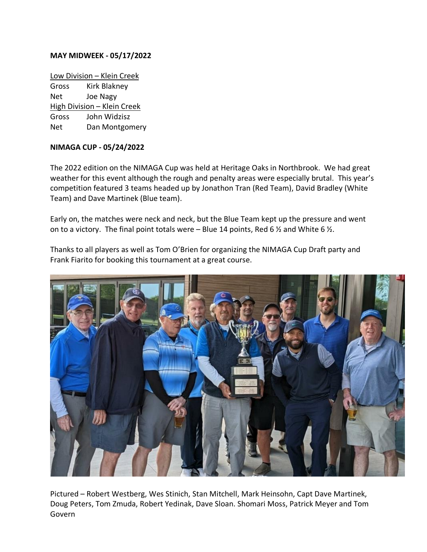#### **MAY MIDWEEK - 05/17/2022**

Low Division – Klein Creek Gross Kirk Blakney Net Joe Nagy High Division – Klein Creek Gross John Widzisz Net Dan Montgomery

#### **NIMAGA CUP - 05/24/2022**

The 2022 edition on the NIMAGA Cup was held at Heritage Oaks in Northbrook. We had great weather for this event although the rough and penalty areas were especially brutal. This year's competition featured 3 teams headed up by Jonathon Tran (Red Team), David Bradley (White Team) and Dave Martinek (Blue team).

Early on, the matches were neck and neck, but the Blue Team kept up the pressure and went on to a victory. The final point totals were – Blue 14 points, Red 6  $\frac{1}{2}$  and White 6  $\frac{1}{2}$ .

Thanks to all players as well as Tom O'Brien for organizing the NIMAGA Cup Draft party and Frank Fiarito for booking this tournament at a great course.



Pictured – Robert Westberg, Wes Stinich, Stan Mitchell, Mark Heinsohn, Capt Dave Martinek, Doug Peters, Tom Zmuda, Robert Yedinak, Dave Sloan. Shomari Moss, Patrick Meyer and Tom Govern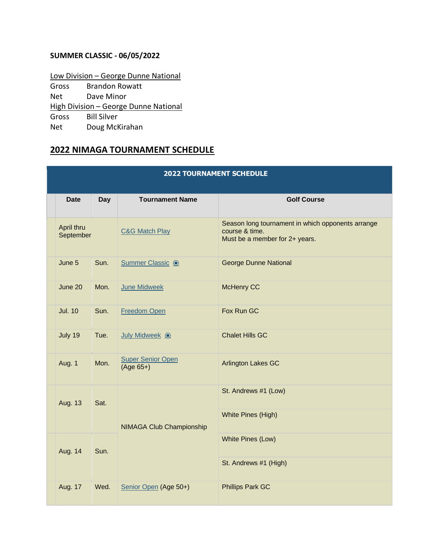## **SUMMER CLASSIC - 06/05/2022**

Low Division – George Dunne National Gross Brandon Rowatt Net Dave Minor High Division - George Dunne National Gross Bill Silver Net Doug McKirahan

## **2022 NIMAGA TOURNAMENT SCHEDULE**

| <b>2022 TOURNAMENT SCHEDULE</b> |                |            |                                         |                                                                                                       |
|---------------------------------|----------------|------------|-----------------------------------------|-------------------------------------------------------------------------------------------------------|
|                                 | <b>Date</b>    | <b>Day</b> | <b>Tournament Name</b>                  | <b>Golf Course</b>                                                                                    |
| April thru<br>September         |                |            | <b>C&amp;G Match Play</b>               | Season long tournament in which opponents arrange<br>course & time.<br>Must be a member for 2+ years. |
|                                 | June 5         | Sun.       | Summer Classic <sup>o</sup>             | <b>George Dunne National</b>                                                                          |
|                                 | June 20        | Mon.       | <b>June Midweek</b>                     | McHenry CC                                                                                            |
|                                 | <b>Jul. 10</b> | Sun.       | <b>Freedom Open</b>                     | Fox Run GC                                                                                            |
|                                 | July 19        | Tue.       | July Midweek <sup>o</sup>               | <b>Chalet Hills GC</b>                                                                                |
|                                 | <b>Aug. 1</b>  | Mon.       | <b>Super Senior Open</b><br>$(Age 65+)$ | <b>Arlington Lakes GC</b>                                                                             |
|                                 | Aug. 13        | Sat.       |                                         | St. Andrews #1 (Low)                                                                                  |
|                                 |                |            | <b>NIMAGA Club Championship</b>         | White Pines (High)                                                                                    |
|                                 | Aug. 14        | Sun.       |                                         | White Pines (Low)                                                                                     |
|                                 |                |            |                                         | St. Andrews #1 (High)                                                                                 |
|                                 | Aug. 17        | Wed.       | Senior Open (Age 50+)                   | <b>Phillips Park GC</b>                                                                               |